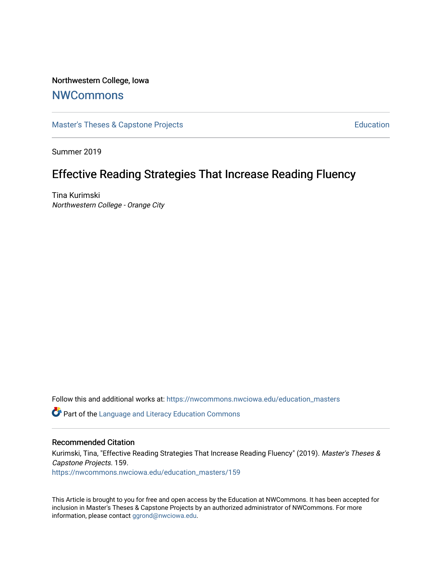# Northwestern College, Iowa

# **[NWCommons](https://nwcommons.nwciowa.edu/)**

[Master's Theses & Capstone Projects](https://nwcommons.nwciowa.edu/education_masters) **Education** Education

Summer 2019

# Effective Reading Strategies That Increase Reading Fluency

Tina Kurimski Northwestern College - Orange City

Follow this and additional works at: [https://nwcommons.nwciowa.edu/education\\_masters](https://nwcommons.nwciowa.edu/education_masters?utm_source=nwcommons.nwciowa.edu%2Feducation_masters%2F159&utm_medium=PDF&utm_campaign=PDFCoverPages)

Part of the [Language and Literacy Education Commons](http://network.bepress.com/hgg/discipline/1380?utm_source=nwcommons.nwciowa.edu%2Feducation_masters%2F159&utm_medium=PDF&utm_campaign=PDFCoverPages) 

#### Recommended Citation

Kurimski, Tina, "Effective Reading Strategies That Increase Reading Fluency" (2019). Master's Theses & Capstone Projects. 159.

[https://nwcommons.nwciowa.edu/education\\_masters/159](https://nwcommons.nwciowa.edu/education_masters/159?utm_source=nwcommons.nwciowa.edu%2Feducation_masters%2F159&utm_medium=PDF&utm_campaign=PDFCoverPages)

This Article is brought to you for free and open access by the Education at NWCommons. It has been accepted for inclusion in Master's Theses & Capstone Projects by an authorized administrator of NWCommons. For more information, please contact [ggrond@nwciowa.edu](mailto:ggrond@nwciowa.edu).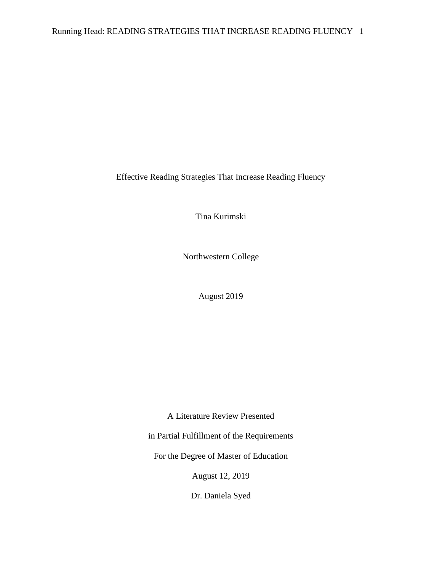Effective Reading Strategies That Increase Reading Fluency

Tina Kurimski

Northwestern College

August 2019

A Literature Review Presented

in Partial Fulfillment of the Requirements

For the Degree of Master of Education

August 12, 2019

Dr. Daniela Syed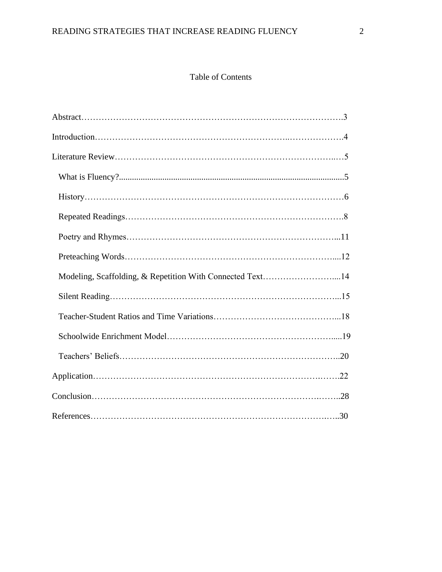# Table of Contents

| Modeling, Scaffolding, & Repetition With Connected Text14 |  |
|-----------------------------------------------------------|--|
|                                                           |  |
|                                                           |  |
|                                                           |  |
|                                                           |  |
|                                                           |  |
|                                                           |  |
|                                                           |  |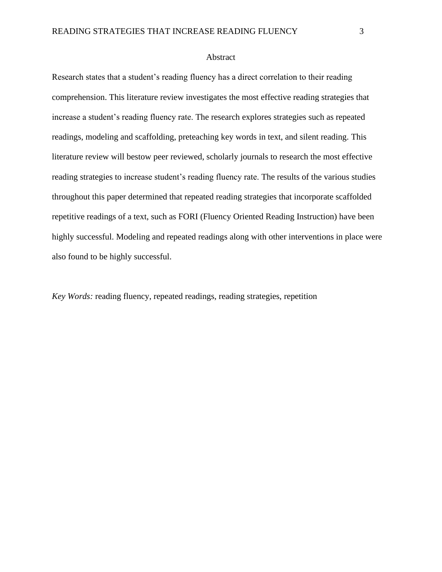#### Abstract

Research states that a student's reading fluency has a direct correlation to their reading comprehension. This literature review investigates the most effective reading strategies that increase a student's reading fluency rate. The research explores strategies such as repeated readings, modeling and scaffolding, preteaching key words in text, and silent reading. This literature review will bestow peer reviewed, scholarly journals to research the most effective reading strategies to increase student's reading fluency rate. The results of the various studies throughout this paper determined that repeated reading strategies that incorporate scaffolded repetitive readings of a text, such as FORI (Fluency Oriented Reading Instruction) have been highly successful. Modeling and repeated readings along with other interventions in place were also found to be highly successful.

*Key Words:* reading fluency, repeated readings, reading strategies, repetition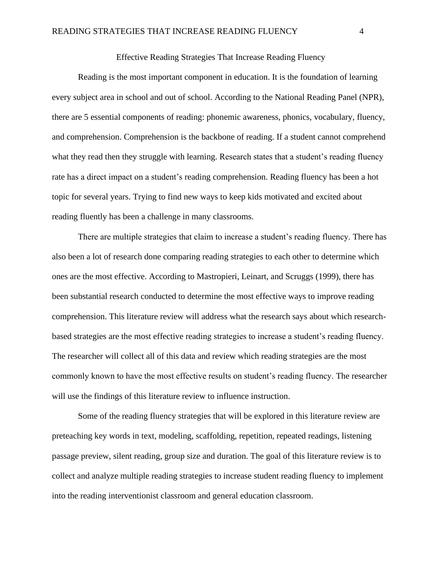# Effective Reading Strategies That Increase Reading Fluency

Reading is the most important component in education. It is the foundation of learning every subject area in school and out of school. According to the National Reading Panel (NPR), there are 5 essential components of reading: phonemic awareness, phonics, vocabulary, fluency, and comprehension. Comprehension is the backbone of reading. If a student cannot comprehend what they read then they struggle with learning. Research states that a student's reading fluency rate has a direct impact on a student's reading comprehension. Reading fluency has been a hot topic for several years. Trying to find new ways to keep kids motivated and excited about reading fluently has been a challenge in many classrooms.

There are multiple strategies that claim to increase a student's reading fluency. There has also been a lot of research done comparing reading strategies to each other to determine which ones are the most effective. According to Mastropieri, Leinart, and Scruggs (1999), there has been substantial research conducted to determine the most effective ways to improve reading comprehension. This literature review will address what the research says about which researchbased strategies are the most effective reading strategies to increase a student's reading fluency. The researcher will collect all of this data and review which reading strategies are the most commonly known to have the most effective results on student's reading fluency. The researcher will use the findings of this literature review to influence instruction.

Some of the reading fluency strategies that will be explored in this literature review are preteaching key words in text, modeling, scaffolding, repetition, repeated readings, listening passage preview, silent reading, group size and duration. The goal of this literature review is to collect and analyze multiple reading strategies to increase student reading fluency to implement into the reading interventionist classroom and general education classroom.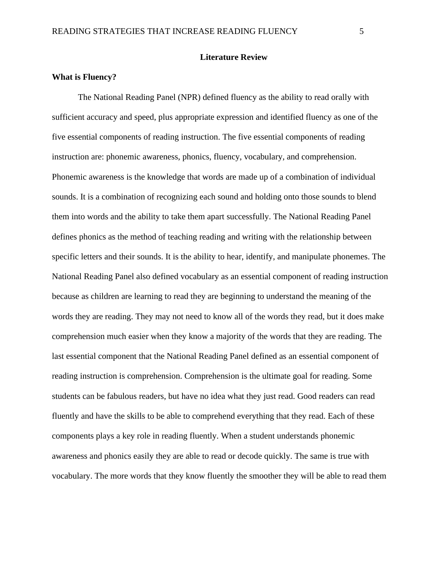# **Literature Review**

#### **What is Fluency?**

The National Reading Panel (NPR) defined fluency as the ability to read orally with sufficient accuracy and speed, plus appropriate expression and identified fluency as one of the five essential components of reading instruction. The five essential components of reading instruction are: phonemic awareness, phonics, fluency, vocabulary, and comprehension. Phonemic awareness is the knowledge that words are made up of a combination of individual sounds. It is a combination of recognizing each sound and holding onto those sounds to blend them into words and the ability to take them apart successfully. The National Reading Panel defines phonics as the method of teaching reading and writing with the relationship between specific letters and their sounds. It is the ability to hear, identify, and manipulate phonemes. The National Reading Panel also defined vocabulary as an essential component of reading instruction because as children are learning to read they are beginning to understand the meaning of the words they are reading. They may not need to know all of the words they read, but it does make comprehension much easier when they know a majority of the words that they are reading. The last essential component that the National Reading Panel defined as an essential component of reading instruction is comprehension. Comprehension is the ultimate goal for reading. Some students can be fabulous readers, but have no idea what they just read. Good readers can read fluently and have the skills to be able to comprehend everything that they read. Each of these components plays a key role in reading fluently. When a student understands phonemic awareness and phonics easily they are able to read or decode quickly. The same is true with vocabulary. The more words that they know fluently the smoother they will be able to read them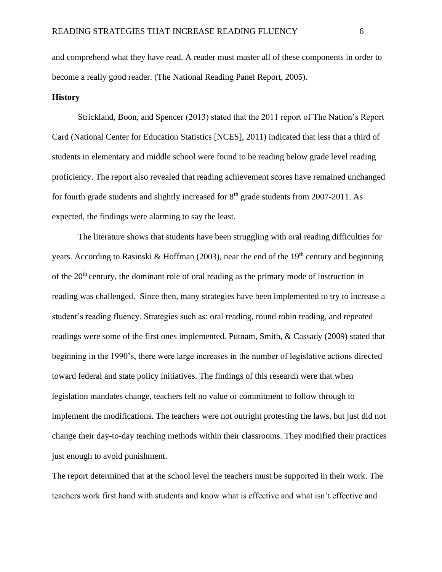and comprehend what they have read. A reader must master all of these components in order to become a really good reader. (The National Reading Panel Report, 2005).

# **History**

Strickland, Boon, and Spencer (2013) stated that the 2011 report of The Nation's Report Card (National Center for Education Statistics [NCES], 2011) indicated that less that a third of students in elementary and middle school were found to be reading below grade level reading proficiency. The report also revealed that reading achievement scores have remained unchanged for fourth grade students and slightly increased for  $8<sup>th</sup>$  grade students from 2007-2011. As expected, the findings were alarming to say the least.

The literature shows that students have been struggling with oral reading difficulties for years. According to Rasinski & Hoffman (2003), near the end of the 19<sup>th</sup> century and beginning of the  $20<sup>th</sup>$  century, the dominant role of oral reading as the primary mode of instruction in reading was challenged. Since then, many strategies have been implemented to try to increase a student's reading fluency. Strategies such as: oral reading, round robin reading, and repeated readings were some of the first ones implemented. Putnam, Smith, & Cassady (2009) stated that beginning in the 1990's, there were large increases in the number of legislative actions directed toward federal and state policy initiatives. The findings of this research were that when legislation mandates change, teachers felt no value or commitment to follow through to implement the modifications. The teachers were not outright protesting the laws, but just did not change their day-to-day teaching methods within their classrooms. They modified their practices just enough to avoid punishment.

The report determined that at the school level the teachers must be supported in their work. The teachers work first hand with students and know what is effective and what isn't effective and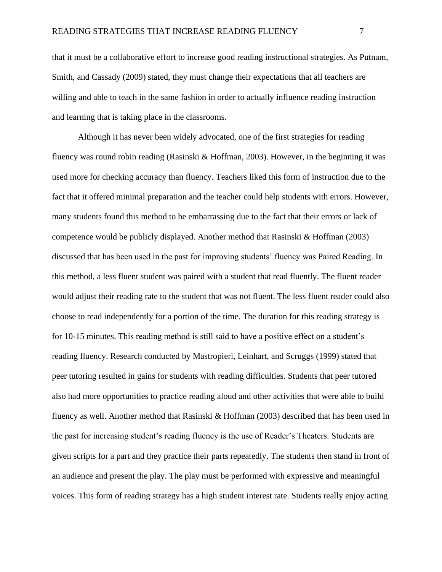that it must be a collaborative effort to increase good reading instructional strategies. As Putnam, Smith, and Cassady (2009) stated, they must change their expectations that all teachers are willing and able to teach in the same fashion in order to actually influence reading instruction and learning that is taking place in the classrooms.

Although it has never been widely advocated, one of the first strategies for reading fluency was round robin reading (Rasinski & Hoffman, 2003). However, in the beginning it was used more for checking accuracy than fluency. Teachers liked this form of instruction due to the fact that it offered minimal preparation and the teacher could help students with errors. However, many students found this method to be embarrassing due to the fact that their errors or lack of competence would be publicly displayed. Another method that Rasinski & Hoffman (2003) discussed that has been used in the past for improving students' fluency was Paired Reading. In this method, a less fluent student was paired with a student that read fluently. The fluent reader would adjust their reading rate to the student that was not fluent. The less fluent reader could also choose to read independently for a portion of the time. The duration for this reading strategy is for 10-15 minutes. This reading method is still said to have a positive effect on a student's reading fluency. Research conducted by Mastropieri, Leinhart, and Scruggs (1999) stated that peer tutoring resulted in gains for students with reading difficulties. Students that peer tutored also had more opportunities to practice reading aloud and other activities that were able to build fluency as well. Another method that Rasinski & Hoffman (2003) described that has been used in the past for increasing student's reading fluency is the use of Reader's Theaters. Students are given scripts for a part and they practice their parts repeatedly. The students then stand in front of an audience and present the play. The play must be performed with expressive and meaningful voices. This form of reading strategy has a high student interest rate. Students really enjoy acting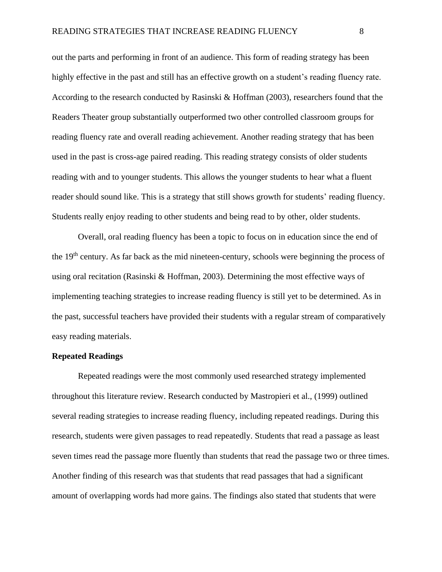out the parts and performing in front of an audience. This form of reading strategy has been highly effective in the past and still has an effective growth on a student's reading fluency rate. According to the research conducted by Rasinski & Hoffman (2003), researchers found that the Readers Theater group substantially outperformed two other controlled classroom groups for reading fluency rate and overall reading achievement. Another reading strategy that has been used in the past is cross-age paired reading. This reading strategy consists of older students reading with and to younger students. This allows the younger students to hear what a fluent reader should sound like. This is a strategy that still shows growth for students' reading fluency. Students really enjoy reading to other students and being read to by other, older students.

Overall, oral reading fluency has been a topic to focus on in education since the end of the 19th century. As far back as the mid nineteen-century, schools were beginning the process of using oral recitation (Rasinski & Hoffman, 2003). Determining the most effective ways of implementing teaching strategies to increase reading fluency is still yet to be determined. As in the past, successful teachers have provided their students with a regular stream of comparatively easy reading materials.

# **Repeated Readings**

Repeated readings were the most commonly used researched strategy implemented throughout this literature review. Research conducted by Mastropieri et al., (1999) outlined several reading strategies to increase reading fluency, including repeated readings. During this research, students were given passages to read repeatedly. Students that read a passage as least seven times read the passage more fluently than students that read the passage two or three times. Another finding of this research was that students that read passages that had a significant amount of overlapping words had more gains. The findings also stated that students that were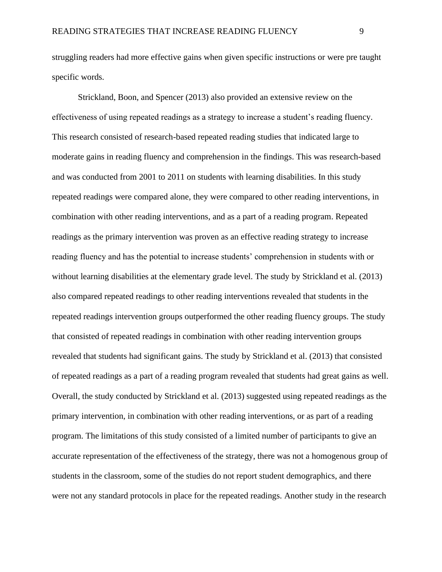struggling readers had more effective gains when given specific instructions or were pre taught specific words.

Strickland, Boon, and Spencer (2013) also provided an extensive review on the effectiveness of using repeated readings as a strategy to increase a student's reading fluency. This research consisted of research-based repeated reading studies that indicated large to moderate gains in reading fluency and comprehension in the findings. This was research-based and was conducted from 2001 to 2011 on students with learning disabilities. In this study repeated readings were compared alone, they were compared to other reading interventions, in combination with other reading interventions, and as a part of a reading program. Repeated readings as the primary intervention was proven as an effective reading strategy to increase reading fluency and has the potential to increase students' comprehension in students with or without learning disabilities at the elementary grade level. The study by Strickland et al. (2013) also compared repeated readings to other reading interventions revealed that students in the repeated readings intervention groups outperformed the other reading fluency groups. The study that consisted of repeated readings in combination with other reading intervention groups revealed that students had significant gains. The study by Strickland et al. (2013) that consisted of repeated readings as a part of a reading program revealed that students had great gains as well. Overall, the study conducted by Strickland et al. (2013) suggested using repeated readings as the primary intervention, in combination with other reading interventions, or as part of a reading program. The limitations of this study consisted of a limited number of participants to give an accurate representation of the effectiveness of the strategy, there was not a homogenous group of students in the classroom, some of the studies do not report student demographics, and there were not any standard protocols in place for the repeated readings. Another study in the research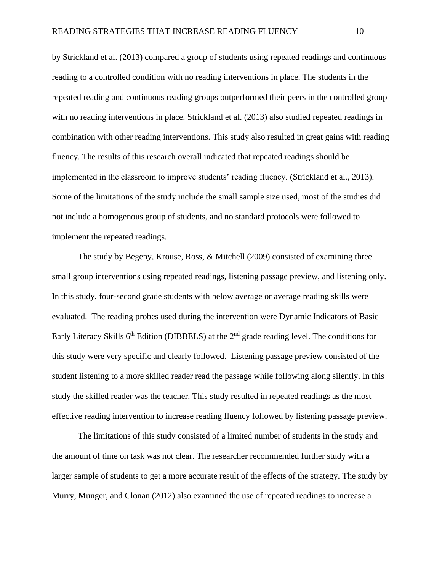by Strickland et al. (2013) compared a group of students using repeated readings and continuous reading to a controlled condition with no reading interventions in place. The students in the repeated reading and continuous reading groups outperformed their peers in the controlled group with no reading interventions in place. Strickland et al. (2013) also studied repeated readings in combination with other reading interventions. This study also resulted in great gains with reading fluency. The results of this research overall indicated that repeated readings should be implemented in the classroom to improve students' reading fluency. (Strickland et al., 2013). Some of the limitations of the study include the small sample size used, most of the studies did not include a homogenous group of students, and no standard protocols were followed to implement the repeated readings.

The study by Begeny, Krouse, Ross, & Mitchell (2009) consisted of examining three small group interventions using repeated readings, listening passage preview, and listening only. In this study, four-second grade students with below average or average reading skills were evaluated. The reading probes used during the intervention were Dynamic Indicators of Basic Early Literacy Skills  $6<sup>th</sup>$  Edition (DIBBELS) at the  $2<sup>nd</sup>$  grade reading level. The conditions for this study were very specific and clearly followed. Listening passage preview consisted of the student listening to a more skilled reader read the passage while following along silently. In this study the skilled reader was the teacher. This study resulted in repeated readings as the most effective reading intervention to increase reading fluency followed by listening passage preview.

The limitations of this study consisted of a limited number of students in the study and the amount of time on task was not clear. The researcher recommended further study with a larger sample of students to get a more accurate result of the effects of the strategy. The study by Murry, Munger, and Clonan (2012) also examined the use of repeated readings to increase a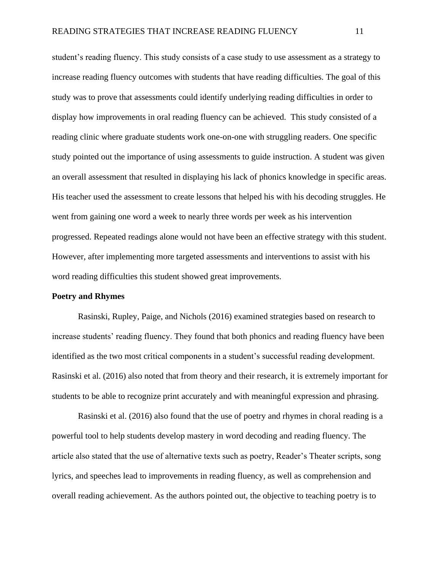student's reading fluency. This study consists of a case study to use assessment as a strategy to increase reading fluency outcomes with students that have reading difficulties. The goal of this study was to prove that assessments could identify underlying reading difficulties in order to display how improvements in oral reading fluency can be achieved. This study consisted of a reading clinic where graduate students work one-on-one with struggling readers. One specific study pointed out the importance of using assessments to guide instruction. A student was given an overall assessment that resulted in displaying his lack of phonics knowledge in specific areas. His teacher used the assessment to create lessons that helped his with his decoding struggles. He went from gaining one word a week to nearly three words per week as his intervention progressed. Repeated readings alone would not have been an effective strategy with this student. However, after implementing more targeted assessments and interventions to assist with his word reading difficulties this student showed great improvements.

#### **Poetry and Rhymes**

Rasinski, Rupley, Paige, and Nichols (2016) examined strategies based on research to increase students' reading fluency. They found that both phonics and reading fluency have been identified as the two most critical components in a student's successful reading development. Rasinski et al. (2016) also noted that from theory and their research, it is extremely important for students to be able to recognize print accurately and with meaningful expression and phrasing.

Rasinski et al. (2016) also found that the use of poetry and rhymes in choral reading is a powerful tool to help students develop mastery in word decoding and reading fluency. The article also stated that the use of alternative texts such as poetry, Reader's Theater scripts, song lyrics, and speeches lead to improvements in reading fluency, as well as comprehension and overall reading achievement. As the authors pointed out, the objective to teaching poetry is to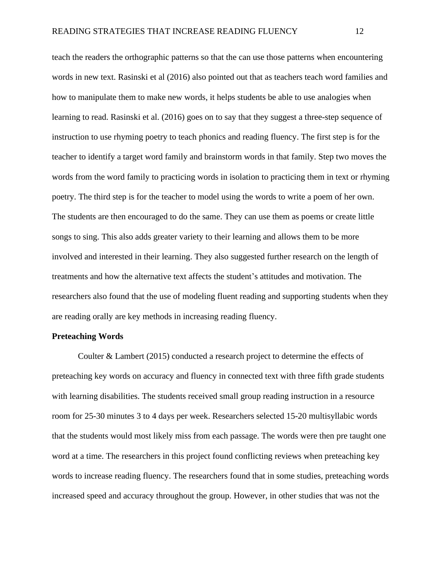teach the readers the orthographic patterns so that the can use those patterns when encountering words in new text. Rasinski et al (2016) also pointed out that as teachers teach word families and how to manipulate them to make new words, it helps students be able to use analogies when learning to read. Rasinski et al. (2016) goes on to say that they suggest a three-step sequence of instruction to use rhyming poetry to teach phonics and reading fluency. The first step is for the teacher to identify a target word family and brainstorm words in that family. Step two moves the words from the word family to practicing words in isolation to practicing them in text or rhyming poetry. The third step is for the teacher to model using the words to write a poem of her own. The students are then encouraged to do the same. They can use them as poems or create little songs to sing. This also adds greater variety to their learning and allows them to be more involved and interested in their learning. They also suggested further research on the length of treatments and how the alternative text affects the student's attitudes and motivation. The researchers also found that the use of modeling fluent reading and supporting students when they are reading orally are key methods in increasing reading fluency.

#### **Preteaching Words**

Coulter & Lambert (2015) conducted a research project to determine the effects of preteaching key words on accuracy and fluency in connected text with three fifth grade students with learning disabilities. The students received small group reading instruction in a resource room for 25-30 minutes 3 to 4 days per week. Researchers selected 15-20 multisyllabic words that the students would most likely miss from each passage. The words were then pre taught one word at a time. The researchers in this project found conflicting reviews when preteaching key words to increase reading fluency. The researchers found that in some studies, preteaching words increased speed and accuracy throughout the group. However, in other studies that was not the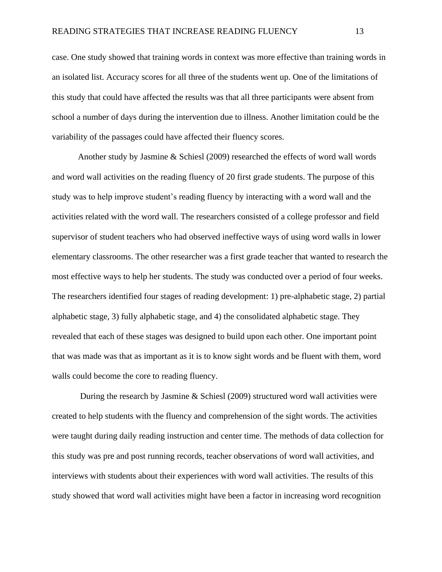case. One study showed that training words in context was more effective than training words in an isolated list. Accuracy scores for all three of the students went up. One of the limitations of this study that could have affected the results was that all three participants were absent from school a number of days during the intervention due to illness. Another limitation could be the variability of the passages could have affected their fluency scores.

Another study by Jasmine & Schiesl (2009) researched the effects of word wall words and word wall activities on the reading fluency of 20 first grade students. The purpose of this study was to help improve student's reading fluency by interacting with a word wall and the activities related with the word wall. The researchers consisted of a college professor and field supervisor of student teachers who had observed ineffective ways of using word walls in lower elementary classrooms. The other researcher was a first grade teacher that wanted to research the most effective ways to help her students. The study was conducted over a period of four weeks. The researchers identified four stages of reading development: 1) pre-alphabetic stage, 2) partial alphabetic stage, 3) fully alphabetic stage, and 4) the consolidated alphabetic stage. They revealed that each of these stages was designed to build upon each other. One important point that was made was that as important as it is to know sight words and be fluent with them, word walls could become the core to reading fluency.

During the research by Jasmine & Schiesl (2009) structured word wall activities were created to help students with the fluency and comprehension of the sight words. The activities were taught during daily reading instruction and center time. The methods of data collection for this study was pre and post running records, teacher observations of word wall activities, and interviews with students about their experiences with word wall activities. The results of this study showed that word wall activities might have been a factor in increasing word recognition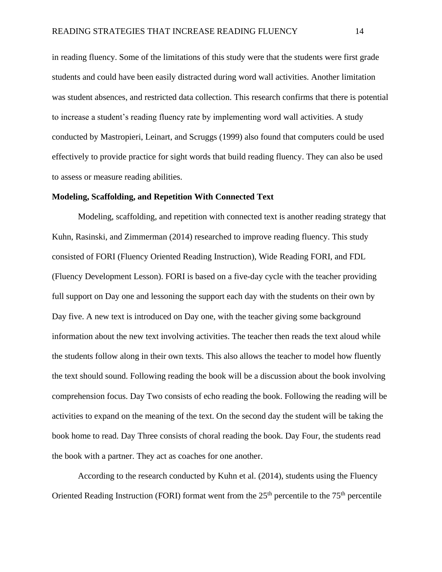in reading fluency. Some of the limitations of this study were that the students were first grade students and could have been easily distracted during word wall activities. Another limitation was student absences, and restricted data collection. This research confirms that there is potential to increase a student's reading fluency rate by implementing word wall activities. A study conducted by Mastropieri, Leinart, and Scruggs (1999) also found that computers could be used effectively to provide practice for sight words that build reading fluency. They can also be used to assess or measure reading abilities.

#### **Modeling, Scaffolding, and Repetition With Connected Text**

Modeling, scaffolding, and repetition with connected text is another reading strategy that Kuhn, Rasinski, and Zimmerman (2014) researched to improve reading fluency. This study consisted of FORI (Fluency Oriented Reading Instruction), Wide Reading FORI, and FDL (Fluency Development Lesson). FORI is based on a five-day cycle with the teacher providing full support on Day one and lessoning the support each day with the students on their own by Day five. A new text is introduced on Day one, with the teacher giving some background information about the new text involving activities. The teacher then reads the text aloud while the students follow along in their own texts. This also allows the teacher to model how fluently the text should sound. Following reading the book will be a discussion about the book involving comprehension focus. Day Two consists of echo reading the book. Following the reading will be activities to expand on the meaning of the text. On the second day the student will be taking the book home to read. Day Three consists of choral reading the book. Day Four, the students read the book with a partner. They act as coaches for one another.

According to the research conducted by Kuhn et al. (2014), students using the Fluency Oriented Reading Instruction (FORI) format went from the  $25<sup>th</sup>$  percentile to the  $75<sup>th</sup>$  percentile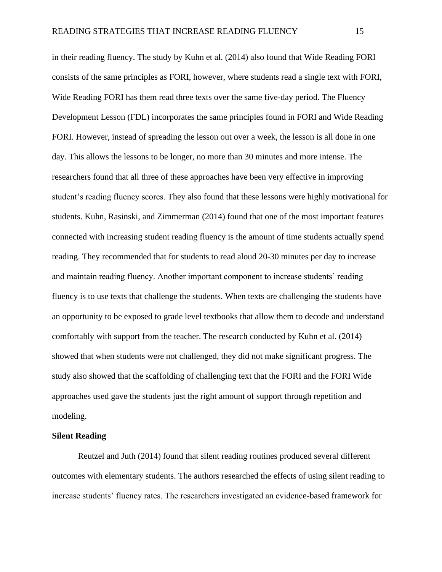in their reading fluency. The study by Kuhn et al. (2014) also found that Wide Reading FORI consists of the same principles as FORI, however, where students read a single text with FORI, Wide Reading FORI has them read three texts over the same five-day period. The Fluency Development Lesson (FDL) incorporates the same principles found in FORI and Wide Reading FORI. However, instead of spreading the lesson out over a week, the lesson is all done in one day. This allows the lessons to be longer, no more than 30 minutes and more intense. The researchers found that all three of these approaches have been very effective in improving student's reading fluency scores. They also found that these lessons were highly motivational for students. Kuhn, Rasinski, and Zimmerman (2014) found that one of the most important features connected with increasing student reading fluency is the amount of time students actually spend reading. They recommended that for students to read aloud 20-30 minutes per day to increase and maintain reading fluency. Another important component to increase students' reading fluency is to use texts that challenge the students. When texts are challenging the students have an opportunity to be exposed to grade level textbooks that allow them to decode and understand comfortably with support from the teacher. The research conducted by Kuhn et al. (2014) showed that when students were not challenged, they did not make significant progress. The study also showed that the scaffolding of challenging text that the FORI and the FORI Wide approaches used gave the students just the right amount of support through repetition and modeling.

#### **Silent Reading**

Reutzel and Juth (2014) found that silent reading routines produced several different outcomes with elementary students. The authors researched the effects of using silent reading to increase students' fluency rates. The researchers investigated an evidence-based framework for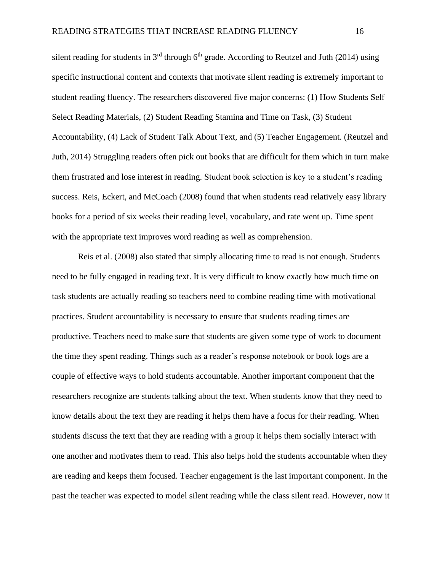silent reading for students in  $3<sup>rd</sup>$  through 6<sup>th</sup> grade. According to Reutzel and Juth (2014) using specific instructional content and contexts that motivate silent reading is extremely important to student reading fluency. The researchers discovered five major concerns: (1) How Students Self Select Reading Materials, (2) Student Reading Stamina and Time on Task, (3) Student Accountability, (4) Lack of Student Talk About Text, and (5) Teacher Engagement. (Reutzel and Juth, 2014) Struggling readers often pick out books that are difficult for them which in turn make them frustrated and lose interest in reading. Student book selection is key to a student's reading success. Reis, Eckert, and McCoach (2008) found that when students read relatively easy library books for a period of six weeks their reading level, vocabulary, and rate went up. Time spent with the appropriate text improves word reading as well as comprehension.

Reis et al. (2008) also stated that simply allocating time to read is not enough. Students need to be fully engaged in reading text. It is very difficult to know exactly how much time on task students are actually reading so teachers need to combine reading time with motivational practices. Student accountability is necessary to ensure that students reading times are productive. Teachers need to make sure that students are given some type of work to document the time they spent reading. Things such as a reader's response notebook or book logs are a couple of effective ways to hold students accountable. Another important component that the researchers recognize are students talking about the text. When students know that they need to know details about the text they are reading it helps them have a focus for their reading. When students discuss the text that they are reading with a group it helps them socially interact with one another and motivates them to read. This also helps hold the students accountable when they are reading and keeps them focused. Teacher engagement is the last important component. In the past the teacher was expected to model silent reading while the class silent read. However, now it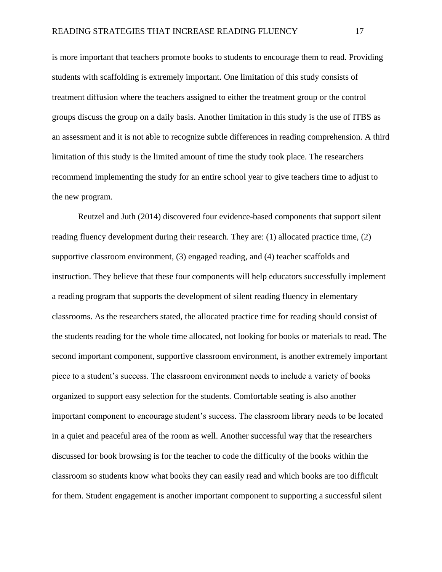is more important that teachers promote books to students to encourage them to read. Providing students with scaffolding is extremely important. One limitation of this study consists of treatment diffusion where the teachers assigned to either the treatment group or the control groups discuss the group on a daily basis. Another limitation in this study is the use of ITBS as an assessment and it is not able to recognize subtle differences in reading comprehension. A third limitation of this study is the limited amount of time the study took place. The researchers recommend implementing the study for an entire school year to give teachers time to adjust to the new program.

Reutzel and Juth (2014) discovered four evidence-based components that support silent reading fluency development during their research. They are: (1) allocated practice time, (2) supportive classroom environment, (3) engaged reading, and (4) teacher scaffolds and instruction. They believe that these four components will help educators successfully implement a reading program that supports the development of silent reading fluency in elementary classrooms. As the researchers stated, the allocated practice time for reading should consist of the students reading for the whole time allocated, not looking for books or materials to read. The second important component, supportive classroom environment, is another extremely important piece to a student's success. The classroom environment needs to include a variety of books organized to support easy selection for the students. Comfortable seating is also another important component to encourage student's success. The classroom library needs to be located in a quiet and peaceful area of the room as well. Another successful way that the researchers discussed for book browsing is for the teacher to code the difficulty of the books within the classroom so students know what books they can easily read and which books are too difficult for them. Student engagement is another important component to supporting a successful silent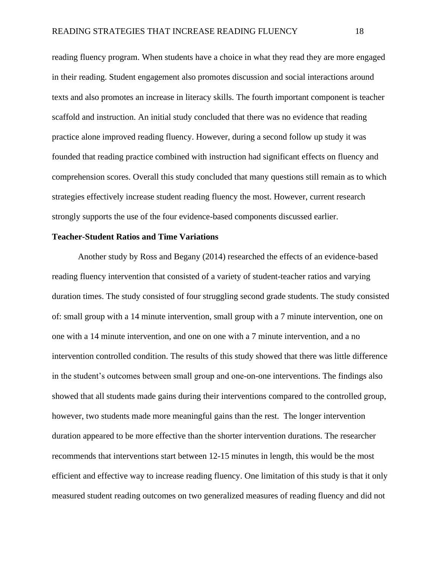reading fluency program. When students have a choice in what they read they are more engaged in their reading. Student engagement also promotes discussion and social interactions around texts and also promotes an increase in literacy skills. The fourth important component is teacher scaffold and instruction. An initial study concluded that there was no evidence that reading practice alone improved reading fluency. However, during a second follow up study it was founded that reading practice combined with instruction had significant effects on fluency and comprehension scores. Overall this study concluded that many questions still remain as to which strategies effectively increase student reading fluency the most. However, current research strongly supports the use of the four evidence-based components discussed earlier.

# **Teacher-Student Ratios and Time Variations**

Another study by Ross and Begany (2014) researched the effects of an evidence-based reading fluency intervention that consisted of a variety of student-teacher ratios and varying duration times. The study consisted of four struggling second grade students. The study consisted of: small group with a 14 minute intervention, small group with a 7 minute intervention, one on one with a 14 minute intervention, and one on one with a 7 minute intervention, and a no intervention controlled condition. The results of this study showed that there was little difference in the student's outcomes between small group and one-on-one interventions. The findings also showed that all students made gains during their interventions compared to the controlled group, however, two students made more meaningful gains than the rest. The longer intervention duration appeared to be more effective than the shorter intervention durations. The researcher recommends that interventions start between 12-15 minutes in length, this would be the most efficient and effective way to increase reading fluency. One limitation of this study is that it only measured student reading outcomes on two generalized measures of reading fluency and did not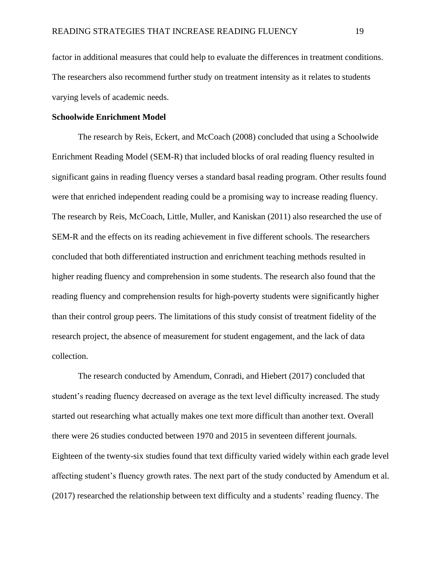factor in additional measures that could help to evaluate the differences in treatment conditions. The researchers also recommend further study on treatment intensity as it relates to students varying levels of academic needs.

#### **Schoolwide Enrichment Model**

The research by Reis, Eckert, and McCoach (2008) concluded that using a Schoolwide Enrichment Reading Model (SEM-R) that included blocks of oral reading fluency resulted in significant gains in reading fluency verses a standard basal reading program. Other results found were that enriched independent reading could be a promising way to increase reading fluency. The research by Reis, McCoach, Little, Muller, and Kaniskan (2011) also researched the use of SEM-R and the effects on its reading achievement in five different schools. The researchers concluded that both differentiated instruction and enrichment teaching methods resulted in higher reading fluency and comprehension in some students. The research also found that the reading fluency and comprehension results for high-poverty students were significantly higher than their control group peers. The limitations of this study consist of treatment fidelity of the research project, the absence of measurement for student engagement, and the lack of data collection.

The research conducted by Amendum, Conradi, and Hiebert (2017) concluded that student's reading fluency decreased on average as the text level difficulty increased. The study started out researching what actually makes one text more difficult than another text. Overall there were 26 studies conducted between 1970 and 2015 in seventeen different journals. Eighteen of the twenty-six studies found that text difficulty varied widely within each grade level affecting student's fluency growth rates. The next part of the study conducted by Amendum et al. (2017) researched the relationship between text difficulty and a students' reading fluency. The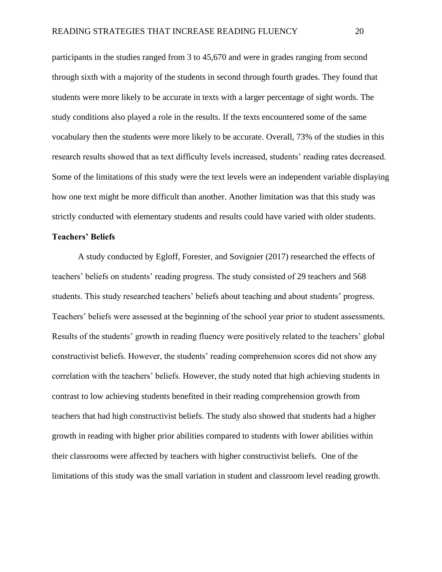participants in the studies ranged from 3 to 45,670 and were in grades ranging from second through sixth with a majority of the students in second through fourth grades. They found that students were more likely to be accurate in texts with a larger percentage of sight words. The study conditions also played a role in the results. If the texts encountered some of the same vocabulary then the students were more likely to be accurate. Overall, 73% of the studies in this research results showed that as text difficulty levels increased, students' reading rates decreased. Some of the limitations of this study were the text levels were an independent variable displaying how one text might be more difficult than another. Another limitation was that this study was strictly conducted with elementary students and results could have varied with older students.

#### **Teachers' Beliefs**

A study conducted by Egloff, Forester, and Sovignier (2017) researched the effects of teachers' beliefs on students' reading progress. The study consisted of 29 teachers and 568 students. This study researched teachers' beliefs about teaching and about students' progress. Teachers' beliefs were assessed at the beginning of the school year prior to student assessments. Results of the students' growth in reading fluency were positively related to the teachers' global constructivist beliefs. However, the students' reading comprehension scores did not show any correlation with the teachers' beliefs. However, the study noted that high achieving students in contrast to low achieving students benefited in their reading comprehension growth from teachers that had high constructivist beliefs. The study also showed that students had a higher growth in reading with higher prior abilities compared to students with lower abilities within their classrooms were affected by teachers with higher constructivist beliefs. One of the limitations of this study was the small variation in student and classroom level reading growth.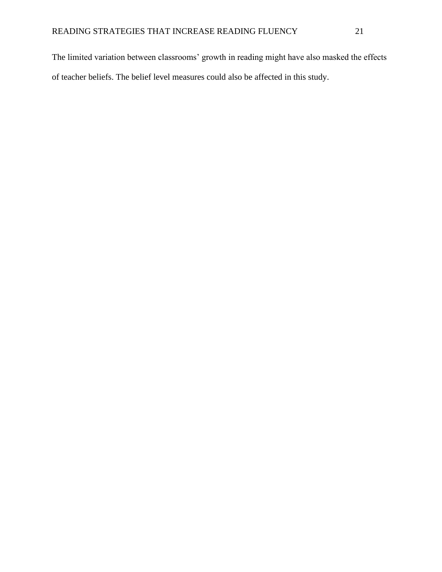The limited variation between classrooms' growth in reading might have also masked the effects of teacher beliefs. The belief level measures could also be affected in this study.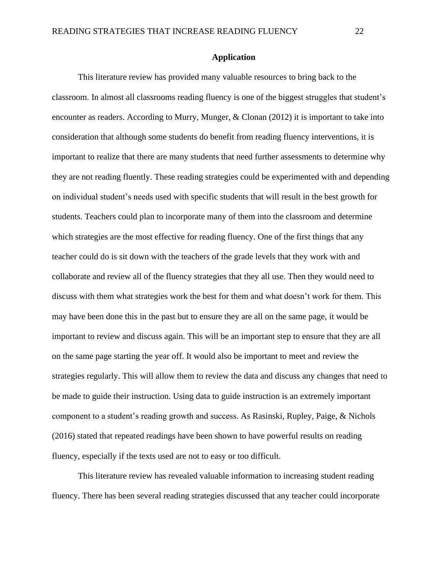# **Application**

This literature review has provided many valuable resources to bring back to the classroom. In almost all classrooms reading fluency is one of the biggest struggles that student's encounter as readers. According to Murry, Munger, & Clonan (2012) it is important to take into consideration that although some students do benefit from reading fluency interventions, it is important to realize that there are many students that need further assessments to determine why they are not reading fluently. These reading strategies could be experimented with and depending on individual student's needs used with specific students that will result in the best growth for students. Teachers could plan to incorporate many of them into the classroom and determine which strategies are the most effective for reading fluency. One of the first things that any teacher could do is sit down with the teachers of the grade levels that they work with and collaborate and review all of the fluency strategies that they all use. Then they would need to discuss with them what strategies work the best for them and what doesn't work for them. This may have been done this in the past but to ensure they are all on the same page, it would be important to review and discuss again. This will be an important step to ensure that they are all on the same page starting the year off. It would also be important to meet and review the strategies regularly. This will allow them to review the data and discuss any changes that need to be made to guide their instruction. Using data to guide instruction is an extremely important component to a student's reading growth and success. As Rasinski, Rupley, Paige, & Nichols (2016) stated that repeated readings have been shown to have powerful results on reading fluency, especially if the texts used are not to easy or too difficult.

This literature review has revealed valuable information to increasing student reading fluency. There has been several reading strategies discussed that any teacher could incorporate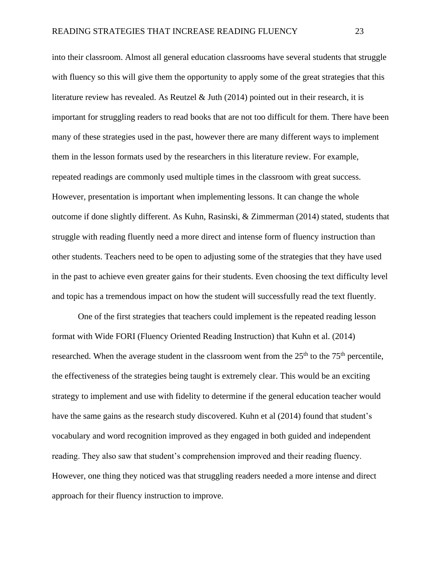into their classroom. Almost all general education classrooms have several students that struggle with fluency so this will give them the opportunity to apply some of the great strategies that this literature review has revealed. As Reutzel  $\&$  Juth (2014) pointed out in their research, it is important for struggling readers to read books that are not too difficult for them. There have been many of these strategies used in the past, however there are many different ways to implement them in the lesson formats used by the researchers in this literature review. For example, repeated readings are commonly used multiple times in the classroom with great success. However, presentation is important when implementing lessons. It can change the whole outcome if done slightly different. As Kuhn, Rasinski, & Zimmerman (2014) stated, students that struggle with reading fluently need a more direct and intense form of fluency instruction than other students. Teachers need to be open to adjusting some of the strategies that they have used in the past to achieve even greater gains for their students. Even choosing the text difficulty level and topic has a tremendous impact on how the student will successfully read the text fluently.

One of the first strategies that teachers could implement is the repeated reading lesson format with Wide FORI (Fluency Oriented Reading Instruction) that Kuhn et al. (2014) researched. When the average student in the classroom went from the  $25<sup>th</sup>$  to the  $75<sup>th</sup>$  percentile, the effectiveness of the strategies being taught is extremely clear. This would be an exciting strategy to implement and use with fidelity to determine if the general education teacher would have the same gains as the research study discovered. Kuhn et al (2014) found that student's vocabulary and word recognition improved as they engaged in both guided and independent reading. They also saw that student's comprehension improved and their reading fluency. However, one thing they noticed was that struggling readers needed a more intense and direct approach for their fluency instruction to improve.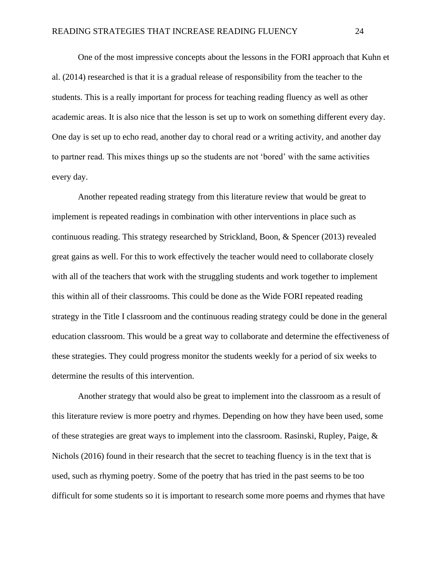One of the most impressive concepts about the lessons in the FORI approach that Kuhn et al. (2014) researched is that it is a gradual release of responsibility from the teacher to the students. This is a really important for process for teaching reading fluency as well as other academic areas. It is also nice that the lesson is set up to work on something different every day. One day is set up to echo read, another day to choral read or a writing activity, and another day to partner read. This mixes things up so the students are not 'bored' with the same activities every day.

Another repeated reading strategy from this literature review that would be great to implement is repeated readings in combination with other interventions in place such as continuous reading. This strategy researched by Strickland, Boon, & Spencer (2013) revealed great gains as well. For this to work effectively the teacher would need to collaborate closely with all of the teachers that work with the struggling students and work together to implement this within all of their classrooms. This could be done as the Wide FORI repeated reading strategy in the Title I classroom and the continuous reading strategy could be done in the general education classroom. This would be a great way to collaborate and determine the effectiveness of these strategies. They could progress monitor the students weekly for a period of six weeks to determine the results of this intervention.

Another strategy that would also be great to implement into the classroom as a result of this literature review is more poetry and rhymes. Depending on how they have been used, some of these strategies are great ways to implement into the classroom. Rasinski, Rupley, Paige,  $\&$ Nichols (2016) found in their research that the secret to teaching fluency is in the text that is used, such as rhyming poetry. Some of the poetry that has tried in the past seems to be too difficult for some students so it is important to research some more poems and rhymes that have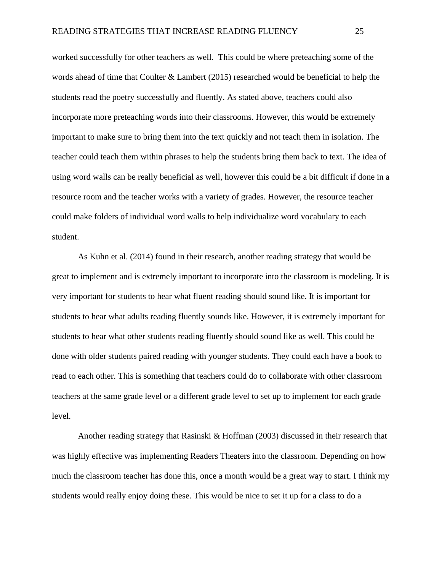worked successfully for other teachers as well. This could be where preteaching some of the words ahead of time that Coulter & Lambert (2015) researched would be beneficial to help the students read the poetry successfully and fluently. As stated above, teachers could also incorporate more preteaching words into their classrooms. However, this would be extremely important to make sure to bring them into the text quickly and not teach them in isolation. The teacher could teach them within phrases to help the students bring them back to text. The idea of using word walls can be really beneficial as well, however this could be a bit difficult if done in a resource room and the teacher works with a variety of grades. However, the resource teacher could make folders of individual word walls to help individualize word vocabulary to each student.

As Kuhn et al. (2014) found in their research, another reading strategy that would be great to implement and is extremely important to incorporate into the classroom is modeling. It is very important for students to hear what fluent reading should sound like. It is important for students to hear what adults reading fluently sounds like. However, it is extremely important for students to hear what other students reading fluently should sound like as well. This could be done with older students paired reading with younger students. They could each have a book to read to each other. This is something that teachers could do to collaborate with other classroom teachers at the same grade level or a different grade level to set up to implement for each grade level.

Another reading strategy that Rasinski & Hoffman (2003) discussed in their research that was highly effective was implementing Readers Theaters into the classroom. Depending on how much the classroom teacher has done this, once a month would be a great way to start. I think my students would really enjoy doing these. This would be nice to set it up for a class to do a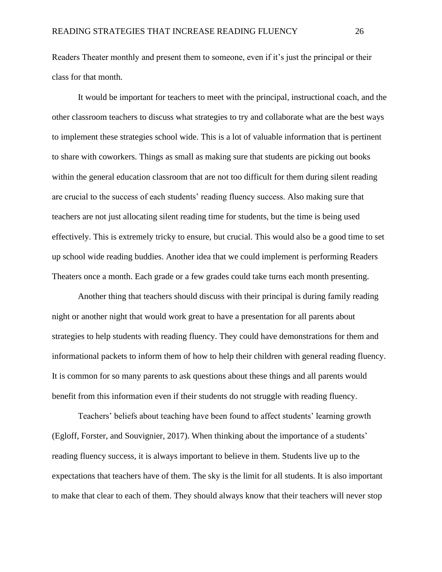Readers Theater monthly and present them to someone, even if it's just the principal or their class for that month.

It would be important for teachers to meet with the principal, instructional coach, and the other classroom teachers to discuss what strategies to try and collaborate what are the best ways to implement these strategies school wide. This is a lot of valuable information that is pertinent to share with coworkers. Things as small as making sure that students are picking out books within the general education classroom that are not too difficult for them during silent reading are crucial to the success of each students' reading fluency success. Also making sure that teachers are not just allocating silent reading time for students, but the time is being used effectively. This is extremely tricky to ensure, but crucial. This would also be a good time to set up school wide reading buddies. Another idea that we could implement is performing Readers Theaters once a month. Each grade or a few grades could take turns each month presenting.

Another thing that teachers should discuss with their principal is during family reading night or another night that would work great to have a presentation for all parents about strategies to help students with reading fluency. They could have demonstrations for them and informational packets to inform them of how to help their children with general reading fluency. It is common for so many parents to ask questions about these things and all parents would benefit from this information even if their students do not struggle with reading fluency.

Teachers' beliefs about teaching have been found to affect students' learning growth (Egloff, Forster, and Souvignier, 2017). When thinking about the importance of a students' reading fluency success, it is always important to believe in them. Students live up to the expectations that teachers have of them. The sky is the limit for all students. It is also important to make that clear to each of them. They should always know that their teachers will never stop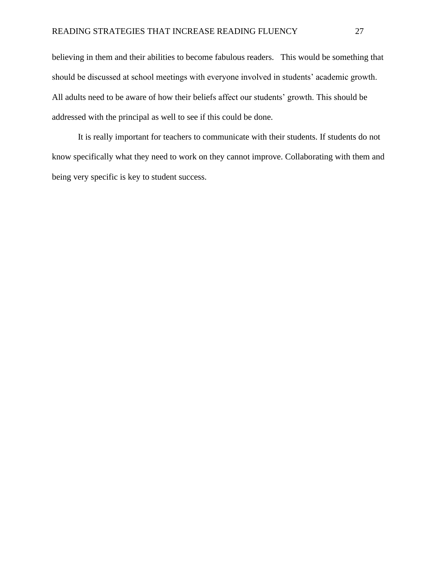believing in them and their abilities to become fabulous readers. This would be something that should be discussed at school meetings with everyone involved in students' academic growth. All adults need to be aware of how their beliefs affect our students' growth. This should be addressed with the principal as well to see if this could be done.

It is really important for teachers to communicate with their students. If students do not know specifically what they need to work on they cannot improve. Collaborating with them and being very specific is key to student success.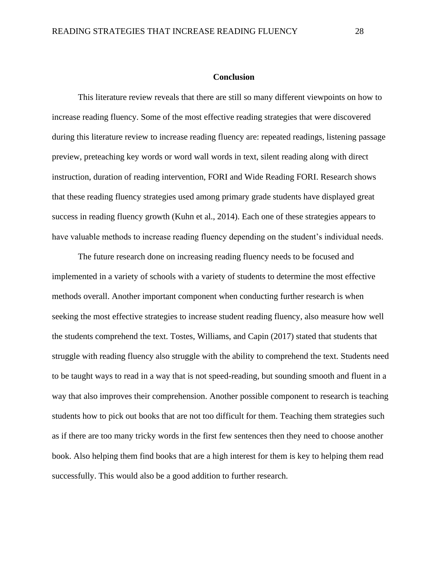# **Conclusion**

This literature review reveals that there are still so many different viewpoints on how to increase reading fluency. Some of the most effective reading strategies that were discovered during this literature review to increase reading fluency are: repeated readings, listening passage preview, preteaching key words or word wall words in text, silent reading along with direct instruction, duration of reading intervention, FORI and Wide Reading FORI. Research shows that these reading fluency strategies used among primary grade students have displayed great success in reading fluency growth (Kuhn et al., 2014). Each one of these strategies appears to have valuable methods to increase reading fluency depending on the student's individual needs.

The future research done on increasing reading fluency needs to be focused and implemented in a variety of schools with a variety of students to determine the most effective methods overall. Another important component when conducting further research is when seeking the most effective strategies to increase student reading fluency, also measure how well the students comprehend the text. Tostes, Williams, and Capin (2017) stated that students that struggle with reading fluency also struggle with the ability to comprehend the text. Students need to be taught ways to read in a way that is not speed-reading, but sounding smooth and fluent in a way that also improves their comprehension. Another possible component to research is teaching students how to pick out books that are not too difficult for them. Teaching them strategies such as if there are too many tricky words in the first few sentences then they need to choose another book. Also helping them find books that are a high interest for them is key to helping them read successfully. This would also be a good addition to further research.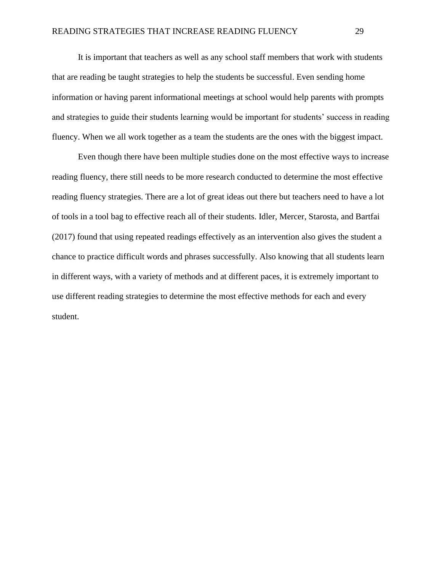It is important that teachers as well as any school staff members that work with students that are reading be taught strategies to help the students be successful. Even sending home information or having parent informational meetings at school would help parents with prompts and strategies to guide their students learning would be important for students' success in reading fluency. When we all work together as a team the students are the ones with the biggest impact.

Even though there have been multiple studies done on the most effective ways to increase reading fluency, there still needs to be more research conducted to determine the most effective reading fluency strategies. There are a lot of great ideas out there but teachers need to have a lot of tools in a tool bag to effective reach all of their students. Idler, Mercer, Starosta, and Bartfai (2017) found that using repeated readings effectively as an intervention also gives the student a chance to practice difficult words and phrases successfully. Also knowing that all students learn in different ways, with a variety of methods and at different paces, it is extremely important to use different reading strategies to determine the most effective methods for each and every student.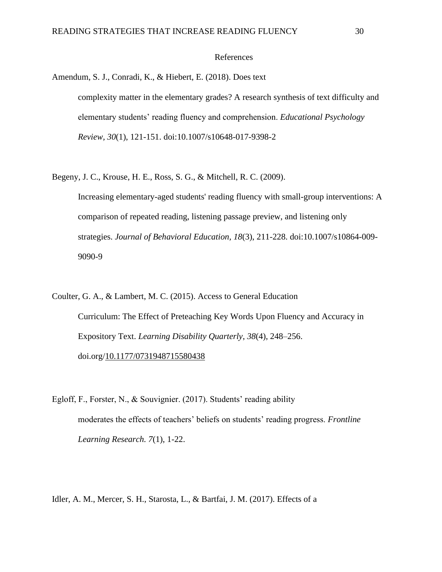# References

Amendum, S. J., Conradi, K., & Hiebert, E. (2018). Does text complexity matter in the elementary grades? A research synthesis of text difficulty and elementary students' reading fluency and comprehension. *Educational Psychology Review, 30*(1), 121-151. doi:10.1007/s10648-017-9398-2

- Begeny, J. C., Krouse, H. E., Ross, S. G., & Mitchell, R. C. (2009). Increasing elementary-aged students' reading fluency with small-group interventions: A comparison of repeated reading, listening passage preview, and listening only strategies. *Journal of Behavioral Education, 18*(3), 211-228. doi:10.1007/s10864-009- 9090-9
- Coulter, G. A., & Lambert, M. C. (2015). Access to General Education Curriculum: The Effect of Preteaching Key Words Upon Fluency and Accuracy in Expository Text. *Learning Disability Quarterly*, *38*(4), 248–256. doi.org[/10.1177/0731948715580438](https://doi-org.ezproxy.nwciowa.edu/10.1177/0731948715580438)
- Egloff, F., Forster, N., & Souvignier. (2017). Students' reading ability moderates the effects of teachers' beliefs on students' reading progress. *Frontline Learning Research. 7*(1), 1-22.

Idler, A. M., Mercer, S. H., Starosta, L., & Bartfai, J. M. (2017). Effects of a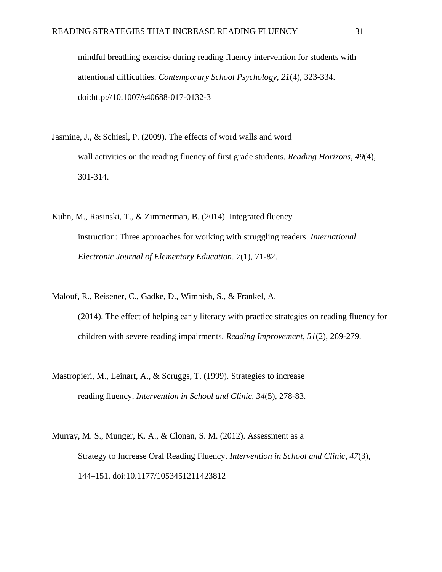mindful breathing exercise during reading fluency intervention for students with attentional difficulties. *Contemporary School Psychology, 21*(4), 323-334. doi:http://10.1007/s40688-017-0132-3

- Jasmine, J., & Schiesl, P. (2009). The effects of word walls and word wall activities on the reading fluency of first grade students. *Reading Horizons, 49*(4), 301-314.
- Kuhn, M., Rasinski, T., & Zimmerman, B. (2014). Integrated fluency instruction: Three approaches for working with struggling readers. *International Electronic Journal of Elementary Education*. *7*(1), 71-82.
- Malouf, R., Reisener, C., Gadke, D., Wimbish, S., & Frankel, A. (2014). The effect of helping early literacy with practice strategies on reading fluency for children with severe reading impairments. *Reading Improvement, 51*(2), 269-279.
- Mastropieri, M., Leinart, A., & Scruggs, T. (1999). Strategies to increase reading fluency. *Intervention in School and Clinic, 34*(5), 278-83.
- Murray, M. S., Munger, K. A., & Clonan, S. M. (2012). Assessment as a Strategy to Increase Oral Reading Fluency. *Intervention in School and Clinic*, *47*(3), 144–151. doi[:10.1177/1053451211423812](https://doi-org.ezproxy.nwciowa.edu/10.1177/1053451211423812)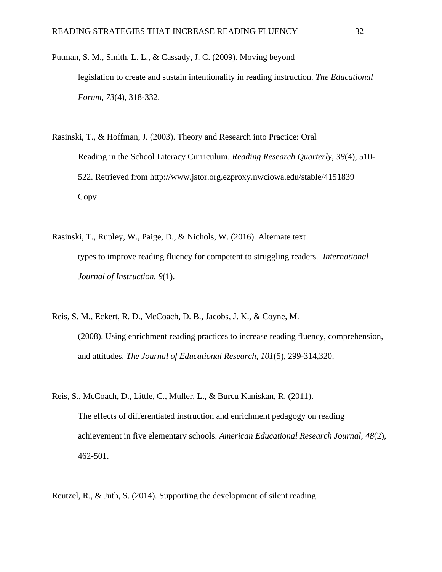- Putman, S. M., Smith, L. L., & Cassady, J. C. (2009). Moving beyond legislation to create and sustain intentionality in reading instruction. *The Educational Forum, 73*(4), 318-332.
- Rasinski, T., & Hoffman, J. (2003). Theory and Research into Practice: Oral Reading in the School Literacy Curriculum. *Reading Research Quarterly, 38*(4), 510- 522. Retrieved from http://www.jstor.org.ezproxy.nwciowa.edu/stable/4151839 Copy
- Rasinski, T., Rupley, W., Paige, D., & Nichols, W. (2016). Alternate text types to improve reading fluency for competent to struggling readers. *International Journal of Instruction. 9*(1).
- Reis, S. M., Eckert, R. D., McCoach, D. B., Jacobs, J. K., & Coyne, M. (2008). Using enrichment reading practices to increase reading fluency, comprehension, and attitudes. *The Journal of Educational Research, 101*(5), 299-314,320.
- Reis, S., McCoach, D., Little, C., Muller, L., & Burcu Kaniskan, R. (2011). The effects of differentiated instruction and enrichment pedagogy on reading achievement in five elementary schools. *American Educational Research Journal, 48*(2), 462-501.

Reutzel, R., & Juth, S. (2014). Supporting the development of silent reading